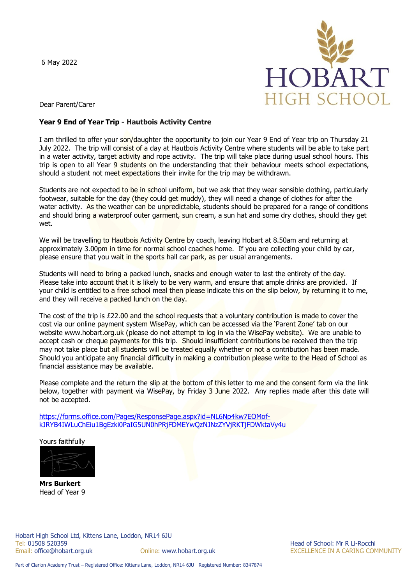6 May 2022



Dear Parent/Carer

## **Year 9 End of Year Trip - Hautbois Activity Centre**

I am thrilled to offer your son/daughter the opportunity to join our Year 9 End of Year trip on Thursday 21 July 2022. The trip will consist of a day at Hautbois Activity Centre where students will be able to take part in a water activity, target activity and rope activity. The trip will take place during usual school hours. This trip is open to all Year 9 students on the understanding that their behaviour meets school expectations, should a student not meet expectations their invite for the trip may be withdrawn.

Students are not expected to be in school uniform, but we ask that they wear sensible clothing, particularly footwear, suitable for the day (they could get muddy), they will need a change of clothes for after the water activity. As the weather can be unpredictable, students should be prepared for a range of conditions and should bring a waterproof outer garment, sun cream, a sun hat and some dry clothes, should they get wet.

We will be travelling to Hautbois Activity Centre by coach, leaving Hobart at 8.50am and returning at approximately 3.00pm in time for normal school coaches home. If you are collecting your child by car, please ensure that you wait in the sports hall car park, as per usual arrangements.

Students will need to bring a packed lunch, snacks and enough water to last the entirety of the day. Please take into account that it is likely to be very warm, and ensure that ample drinks are provided. If your child is entitled to a free school meal then please indicate this on the slip below, by returning it to me, and they will receive a packed lunch on the day.

The cost of the trip is £22.00 and the school requests that a voluntary contribution is made to cover the cost via our online payment system WisePay, which can be accessed via the 'Parent Zone' tab on our website www.hobart.org.uk (please do not attempt to log in via the WisePay website). We are unable to accept cash or cheque payments for this trip. Should insufficient contributions be received then the trip may not take place but all students will be treated equally whether or not a contribution has been made. Should you anticipate any financial difficulty in making a contribution please write to the Head of School as financial assistance may be available.

Please complete and the return the slip at the bottom of this letter to me and the consent form via the link below, together with payment via WisePay, by Friday 3 June 2022. Any replies made after this date will not be accepted.

[https://forms.office.com/Pages/ResponsePage.aspx?id=NL6Np4kw7EOMof](https://forms.office.com/Pages/ResponsePage.aspx?id=NL6Np4kw7EOMof-kJRYB4IWLuChEiu1BgEzki0PaIG5UN0hPRjFDMEYwQzNJNzZYVjRKTjFDWktaVy4u)[kJRYB4IWLuChEiu1BgEzki0PaIG5UN0hPRjFDMEYwQzNJNzZYVjRKTjFDWktaVy4u](https://forms.office.com/Pages/ResponsePage.aspx?id=NL6Np4kw7EOMof-kJRYB4IWLuChEiu1BgEzki0PaIG5UN0hPRjFDMEYwQzNJNzZYVjRKTjFDWktaVy4u)

Yours faithfully



**Mrs Burkert** Head of Year 9

Online: www.hobart.org.uk **EXCELLENCE IN A CARING COMMUNITY**